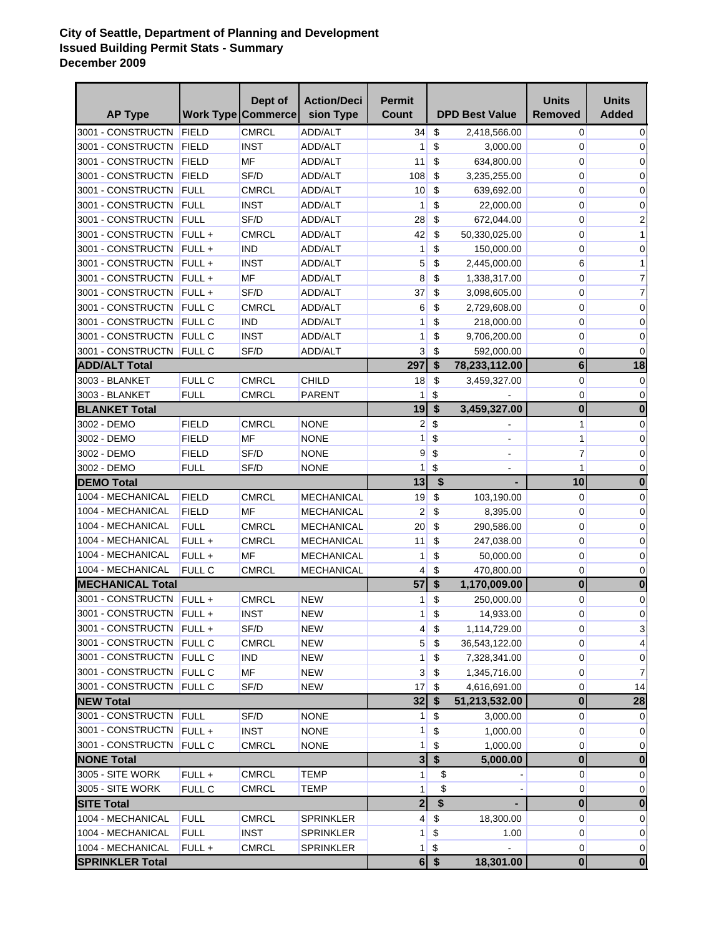## **City of Seattle, Department of Planning and Development Issued Building Permit Stats - Summary December 2009**

|                          |               | Dept of                   | <b>Action/Deci</b> | <b>Permit</b>  |                           |                       | <b>Units</b>   | Units        |
|--------------------------|---------------|---------------------------|--------------------|----------------|---------------------------|-----------------------|----------------|--------------|
| <b>AP Type</b>           |               | <b>Work Type Commerce</b> | sion Type          | Count          |                           | <b>DPD Best Value</b> | <b>Removed</b> | <b>Added</b> |
| 3001 - CONSTRUCTN        | FIELD         | <b>CMRCL</b>              | ADD/ALT            | 34             | \$                        | 2,418,566.00          | 0              | 0            |
| 3001 - CONSTRUCTN        | FIELD         | <b>INST</b>               | ADD/ALT            | 1              | \$                        | 3,000.00              | 0              | 0            |
| 3001 - CONSTRUCTN FIELD  |               | <b>MF</b>                 | <b>ADD/ALT</b>     | 11             | \$                        | 634,800.00            | 0              | 0            |
| 3001 - CONSTRUCTN        | FIELD         | SF/D                      | ADD/ALT            | 108            | \$                        | 3,235,255.00          | 0              | 0            |
| 3001 - CONSTRUCTN FULL   |               | <b>CMRCL</b>              | ADD/ALT            | 10             | \$                        | 639,692.00            | 0              | 0            |
| 3001 - CONSTRUCTN FULL   |               | <b>INST</b>               | <b>ADD/ALT</b>     | 1              | \$                        | 22,000.00             | 0              | 0            |
| 3001 - CONSTRUCTN FULL   |               | SF/D                      | ADD/ALT            | 28             | \$                        | 672,044.00            | 0              | 2            |
| 3001 - CONSTRUCTN        | $FULL +$      | <b>CMRCL</b>              | ADD/ALT            | 42             | \$                        | 50,330,025.00         | 0              | 1            |
| 3001 - CONSTRUCTN FULL + |               | ind                       | ADD/ALT            | 1              | \$                        | 150,000.00            | 0              | 0            |
| 3001 - CONSTRUCTN FULL + |               | <b>INST</b>               | ADD/ALT            | 5              | \$                        | 2,445,000.00          | 6              | 1            |
| 3001 - CONSTRUCTN FULL + |               | MF                        | ADD/ALT            | 8              | \$                        | 1,338,317.00          | 0              | 7            |
| 3001 - CONSTRUCTN FULL + |               | SF/D                      | ADD/ALT            | 37             | \$                        | 3,098,605.00          | 0              | 7            |
| 3001 - CONSTRUCTN FULL C |               | <b>CMRCL</b>              | ADD/ALT            | 6              | \$                        | 2,729,608.00          | 0              | 0            |
| 3001 - CONSTRUCTN FULL C |               | <b>IND</b>                | ADD/ALT            | 1              | \$                        | 218,000.00            | 0              | 0            |
| 3001 - CONSTRUCTN FULL C |               | <b>INST</b>               | ADD/ALT            | 1              | \$                        | 9,706,200.00          | 0              | 0            |
| 3001 - CONSTRUCTN        | <b>FULL C</b> | SF/D                      | ADD/ALT            | 3              | \$                        | 592,000.00            | 0              | 0            |
| <b>ADD/ALT Total</b>     |               |                           |                    | 297            | \$                        | 78,233,112.00         | $6\phantom{a}$ | 18           |
| 3003 - BLANKET           | FULL C        | CMRCL                     | CHILD              | 18             | \$                        | 3,459,327.00          | 0              | 0            |
| 3003 - BLANKET           | <b>FULL</b>   | CMRCL                     | <b>PARENT</b>      | 1              | \$                        |                       | 0              | 0            |
| <b>BLANKET Total</b>     |               |                           |                    | 19             | \$                        | 3,459,327.00          | $\mathbf{0}$   | $\bf{0}$     |
| 3002 - DEMO              | FIELD         | CMRCL                     | <b>NONE</b>        | 2              | $\boldsymbol{\mathsf{S}}$ |                       | 1              | 0            |
| 3002 - DEMO              | FIELD         | <b>MF</b>                 | <b>NONE</b>        | 1              | \$                        |                       | 1              | 0            |
| 3002 - DEMO              | FIELD         | SF/D                      | <b>NONE</b>        | 9              | \$                        |                       | 7              | 0            |
| 3002 - DEMO              | <b>FULL</b>   | SF/D                      | <b>NONE</b>        | 1              | \$                        |                       | 1              | 0            |
| <b>DEMO Total</b>        |               |                           |                    | 13             | \$                        |                       | 10             | $\bf{0}$     |
| 1004 - MECHANICAL        | <b>FIELD</b>  | <b>CMRCL</b>              | <b>MECHANICAL</b>  | 19             | \$                        | 103,190.00            | 0              | 0            |
| 1004 - MECHANICAL        | <b>FIELD</b>  | MF                        | <b>MECHANICAL</b>  | 2              | \$                        | 8,395.00              | 0              | 0            |
| 1004 - MECHANICAL        | <b>FULL</b>   | <b>CMRCL</b>              | <b>MECHANICAL</b>  | 20             | \$                        | 290,586.00            | 0              | 0            |
| 1004 - MECHANICAL        | FULL+         | <b>CMRCL</b>              | MECHANICAL         | 11             | \$                        | 247,038.00            | 0              | 0            |
| 1004 - MECHANICAL        | FULL+         | <b>MF</b>                 | MECHANICAL         | 1              | \$                        | 50,000.00             | 0              | 0            |
| 1004 - MECHANICAL        | FULL C        | <b>CMRCL</b>              | MECHANICAL         | 4              | \$                        | 470,800.00            | 0              | 0            |
| <b>MECHANICAL Total</b>  |               |                           |                    | 57             | \$                        | 1,170,009.00          | $\mathbf 0$    | $\bf{0}$     |
| 3001 - CONSTRUCTN FULL + |               | <b>CMRCL</b>              | <b>NEW</b>         | 1              | \$                        | 250,000.00            | 0              | 0            |
| 3001 - CONSTRUCTN FULL + |               | <b>INST</b>               | <b>NEW</b>         | 1              | $\,$                      | 14,933.00             | 0              | 0            |
| 3001 - CONSTRUCTN FULL + |               | SF/D                      | <b>NEW</b>         | 4              | \$                        | 1,114,729.00          | 0              | 3            |
| 3001 - CONSTRUCTN FULL C |               | <b>CMRCL</b>              | <b>NEW</b>         | 5 <sup>5</sup> | \$                        | 36,543,122.00         | 0              | 4            |
| 3001 - CONSTRUCTN FULL C |               | <b>IND</b>                | <b>NEW</b>         | 1              | \$                        | 7,328,341.00          | 0              | 0            |
| 3001 - CONSTRUCTN FULL C |               | <b>MF</b>                 | <b>NEW</b>         | 3              | \$                        | 1,345,716.00          | 0              | 7            |
| 3001 - CONSTRUCTN FULL C |               | SF/D                      | <b>NEW</b>         | 17             | \$                        | 4,616,691.00          | 0              | 14           |
| <b>NEW Total</b>         |               |                           |                    | 32             | $\boldsymbol{\mathsf{s}}$ | 51,213,532.00         | $\mathbf 0$    | 28           |
| 3001 - CONSTRUCTN FULL   |               | SF/D                      | <b>NONE</b>        | 1              | \$                        | 3,000.00              | 0              | 0            |
| 3001 - CONSTRUCTN FULL + |               | <b>INST</b>               | <b>NONE</b>        | 1              | \$                        | 1,000.00              | 0              | 0            |
| 3001 - CONSTRUCTN FULL C |               | <b>CMRCL</b>              | <b>NONE</b>        | 1              | \$                        | 1,000.00              | 0              | 0            |
| <b>NONE Total</b>        |               |                           |                    | 3              | $\boldsymbol{\$}$         | 5,000.00              | $\mathbf 0$    | $\bf{0}$     |
| 3005 - SITE WORK         | FULL+         | <b>CMRCL</b>              | TEMP               | 1              | \$                        |                       | 0              | 0            |
| 3005 - SITE WORK         | FULL C        | <b>CMRCL</b>              | <b>TEMP</b>        | 1              | \$                        |                       | 0              | 0            |
| <b>SITE Total</b>        |               |                           |                    | $\overline{2}$ | \$                        |                       | $\mathbf 0$    | 0            |
| 1004 - MECHANICAL        | <b>FULL</b>   | <b>CMRCL</b>              | <b>SPRINKLER</b>   | $\overline{4}$ | \$                        | 18,300.00             | 0              | 0            |
| 1004 - MECHANICAL        | <b>FULL</b>   | <b>INST</b>               | <b>SPRINKLER</b>   | 1              | \$                        | 1.00                  | 0              | 0            |
| 1004 - MECHANICAL        | FULL +        | <b>CMRCL</b>              | <b>SPRINKLER</b>   | 1              | \$                        |                       | 0              | 0            |
| <b>SPRINKLER Total</b>   |               |                           |                    |                | $6$ \$                    | 18,301.00             | $\mathbf 0$    | $\bf{0}$     |
|                          |               |                           |                    |                |                           |                       |                |              |